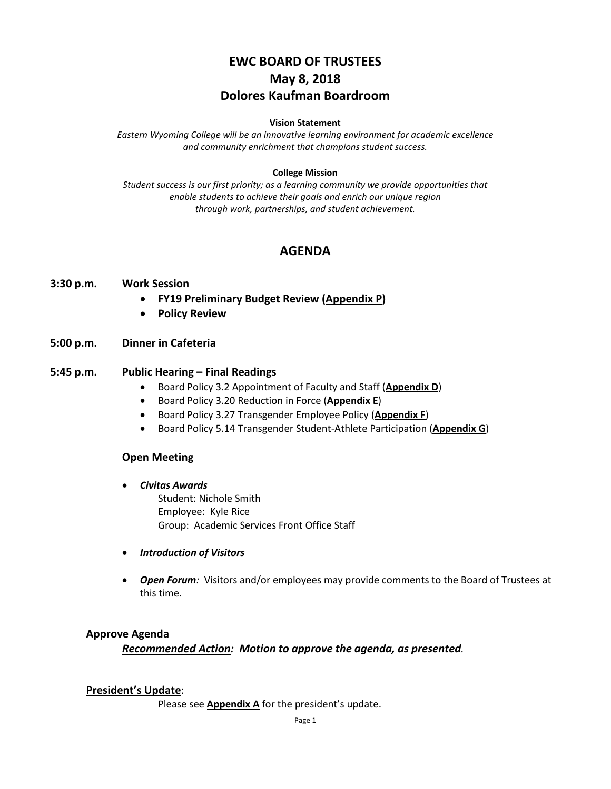# **EWC BOARD OF TRUSTEES May 8, 2018 Dolores Kaufman Boardroom**

#### **Vision Statement**

*Eastern Wyoming College will be an innovative learning environment for academic excellence and community enrichment that champions student success.*

#### **College Mission**

*Student success is our first priority; as a learning community we provide opportunities that enable students to achieve their goals and enrich our unique region through work, partnerships, and student achievement.*

# **AGENDA**

#### **3:30 p.m. Work Session**

- **FY19 Preliminary Budget Review (Appendix P)**
- **Policy Review**

### **5:00 p.m. Dinner in Cafeteria**

#### **5:45 p.m. Public Hearing – Final Readings**

- Board Policy 3.2 Appointment of Faculty and Staff (**Appendix D**)
- Board Policy 3.20 Reduction in Force (**Appendix E**)
- Board Policy 3.27 Transgender Employee Policy (**Appendix F**)
- Board Policy 5.14 Transgender Student-Athlete Participation (**Appendix G**)

#### **Open Meeting**

• *Civitas Awards*

Student: Nichole Smith Employee: Kyle Rice Group: Academic Services Front Office Staff

- *Introduction of Visitors*
- *Open Forum:* Visitors and/or employees may provide comments to the Board of Trustees at this time.

#### **Approve Agenda**

*Recommended Action: Motion to approve the agenda, as presented.*

#### **President's Update**:

Please see **Appendix A** for the president's update.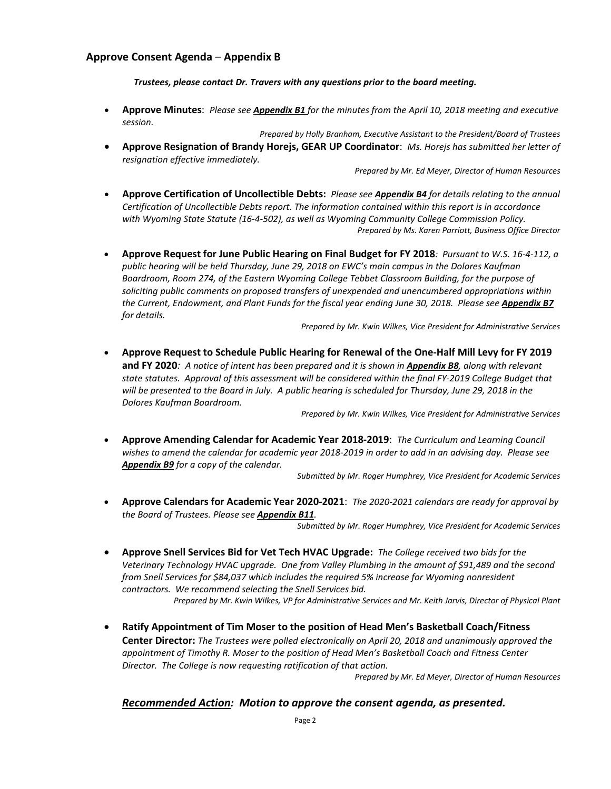#### **Approve Consent Agenda** – **Appendix B**

*Trustees, please contact Dr. Travers with any questions prior to the board meeting.*

• **Approve Minutes**: *Please see Appendix B1 for the minutes from the April 10, 2018 meeting and executive session.*

*Prepared by Holly Branham, Executive Assistant to the President/Board of Trustees* • **Approve Resignation of Brandy Horejs, GEAR UP Coordinator**: *Ms. Horejs has submitted her letter of resignation effective immediately.*

*Prepared by Mr. Ed Meyer, Director of Human Resources*

- **Approve Certification of Uncollectible Debts:** *Please see Appendix B4 for details relating to the annual Certification of Uncollectible Debts report. The information contained within this report is in accordance with Wyoming State Statute (16-4-502), as well as Wyoming Community College Commission Policy. Prepared by Ms. Karen Parriott, Business Office Director*
- **Approve Request for June Public Hearing on Final Budget for FY 2018***: Pursuant to W.S. 16-4-112, a public hearing will be held Thursday, June 29, 2018 on EWC's main campus in the Dolores Kaufman Boardroom, Room 274, of the Eastern Wyoming College Tebbet Classroom Building, for the purpose of soliciting public comments on proposed transfers of unexpended and unencumbered appropriations within the Current, Endowment, and Plant Funds for the fiscal year ending June 30, 2018. Please see Appendix B7 for details.*

*Prepared by Mr. Kwin Wilkes, Vice President for Administrative Services*

• **Approve Request to Schedule Public Hearing for Renewal of the One-Half Mill Levy for FY 2019 and FY 2020***: A notice of intent has been prepared and it is shown in Appendix B8, along with relevant state statutes. Approval of this assessment will be considered within the final FY-2019 College Budget that will be presented to the Board in July. A public hearing is scheduled for Thursday, June 29, 2018 in the Dolores Kaufman Boardroom.*

*Prepared by Mr. Kwin Wilkes, Vice President for Administrative Services*

• **Approve Amending Calendar for Academic Year 2018-2019**: *The Curriculum and Learning Council wishes to amend the calendar for academic year 2018-2019 in order to add in an advising day. Please see Appendix B9 for a copy of the calendar.*

*Submitted by Mr. Roger Humphrey, Vice President for Academic Services*

• **Approve Calendars for Academic Year 2020-2021**: *The 2020-2021 calendars are ready for approval by the Board of Trustees. Please see Appendix B11.*

*Submitted by Mr. Roger Humphrey, Vice President for Academic Services*

• **Approve Snell Services Bid for Vet Tech HVAC Upgrade:** *The College received two bids for the Veterinary Technology HVAC upgrade. One from Valley Plumbing in the amount of \$91,489 and the second from Snell Services for \$84,037 which includes the required 5% increase for Wyoming nonresident contractors. We recommend selecting the Snell Services bid.*

*Prepared by Mr. Kwin Wilkes, VP for Administrative Services and Mr. Keith Jarvis, Director of Physical Plant*

• **Ratify Appointment of Tim Moser to the position of Head Men's Basketball Coach/Fitness Center Director:** *The Trustees were polled electronically on April 20, 2018 and unanimously approved the appointment of Timothy R. Moser to the position of Head Men's Basketball Coach and Fitness Center Director. The College is now requesting ratification of that action.*

*Prepared by Mr. Ed Meyer, Director of Human Resources*

#### *Recommended Action: Motion to approve the consent agenda, as presented.*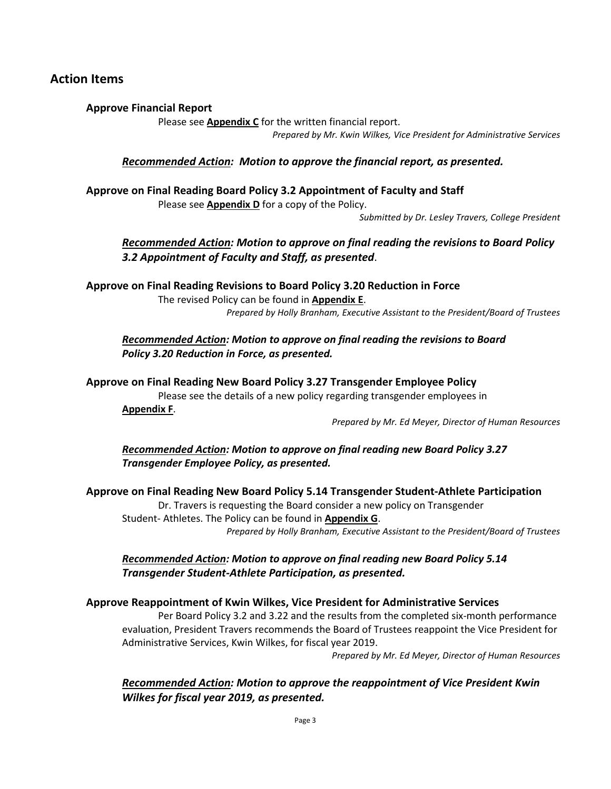# **Action Items**

### **Approve Financial Report**

Please see **Appendix C** for the written financial report.

*Prepared by Mr. Kwin Wilkes, Vice President for Administrative Services*

### *Recommended Action: Motion to approve the financial report, as presented.*

**Approve on Final Reading Board Policy 3.2 Appointment of Faculty and Staff**  Please see **Appendix D** for a copy of the Policy.

*Submitted by Dr. Lesley Travers, College President* 

*Recommended Action: Motion to approve on final reading the revisions to Board Policy 3.2 Appointment of Faculty and Staff, as presented*.

**Approve on Final Reading Revisions to Board Policy 3.20 Reduction in Force**  The revised Policy can be found in **Appendix E**. *Prepared by Holly Branham, Executive Assistant to the President/Board of Trustees*

*Recommended Action: Motion to approve on final reading the revisions to Board Policy 3.20 Reduction in Force, as presented.* 

**Approve on Final Reading New Board Policy 3.27 Transgender Employee Policy** 

Please see the details of a new policy regarding transgender employees in **Appendix F**.

*Prepared by Mr. Ed Meyer, Director of Human Resources*

*Recommended Action: Motion to approve on final reading new Board Policy 3.27 Transgender Employee Policy, as presented.* 

### **Approve on Final Reading New Board Policy 5.14 Transgender Student-Athlete Participation**

Dr. Travers is requesting the Board consider a new policy on Transgender Student- Athletes. The Policy can be found in **Appendix G**. *Prepared by Holly Branham, Executive Assistant to the President/Board of Trustees*

*Recommended Action: Motion to approve on final reading new Board Policy 5.14 Transgender Student-Athlete Participation, as presented.*

### **Approve Reappointment of Kwin Wilkes, Vice President for Administrative Services**

Per Board Policy 3.2 and 3.22 and the results from the completed six-month performance evaluation, President Travers recommends the Board of Trustees reappoint the Vice President for Administrative Services, Kwin Wilkes, for fiscal year 2019.

*Prepared by Mr. Ed Meyer, Director of Human Resources*

*Recommended Action: Motion to approve the reappointment of Vice President Kwin Wilkes for fiscal year 2019, as presented.*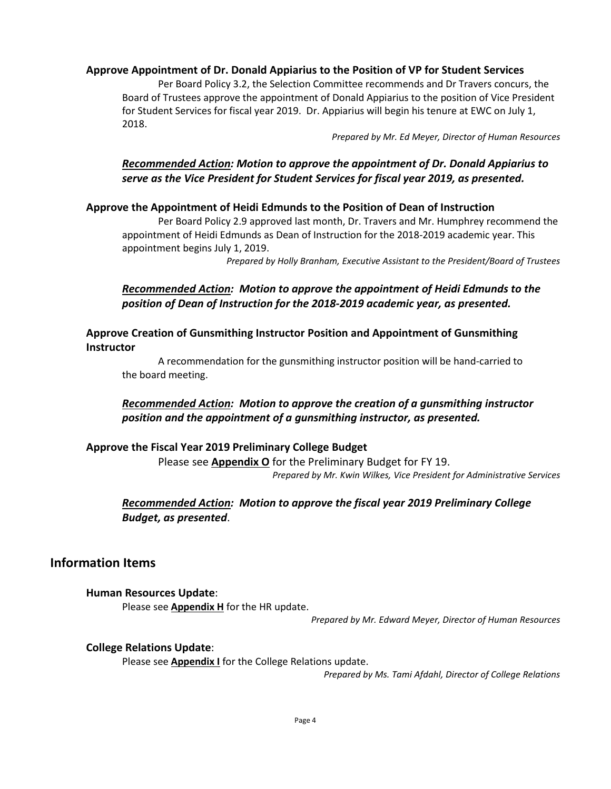### **Approve Appointment of Dr. Donald Appiarius to the Position of VP for Student Services**

Per Board Policy 3.2, the Selection Committee recommends and Dr Travers concurs, the Board of Trustees approve the appointment of Donald Appiarius to the position of Vice President for Student Services for fiscal year 2019. Dr. Appiarius will begin his tenure at EWC on July 1, 2018.

*Prepared by Mr. Ed Meyer, Director of Human Resources*

# *Recommended Action: Motion to approve the appointment of Dr. Donald Appiarius to serve as the Vice President for Student Services for fiscal year 2019, as presented.*

### **Approve the Appointment of Heidi Edmunds to the Position of Dean of Instruction**

Per Board Policy 2.9 approved last month, Dr. Travers and Mr. Humphrey recommend the appointment of Heidi Edmunds as Dean of Instruction for the 2018-2019 academic year. This appointment begins July 1, 2019.

*Prepared by Holly Branham, Executive Assistant to the President/Board of Trustees*

# *Recommended Action: Motion to approve the appointment of Heidi Edmunds to the position of Dean of Instruction for the 2018-2019 academic year, as presented.*

### **Approve Creation of Gunsmithing Instructor Position and Appointment of Gunsmithing Instructor**

A recommendation for the gunsmithing instructor position will be hand-carried to the board meeting.

# *Recommended Action: Motion to approve the creation of a gunsmithing instructor position and the appointment of a gunsmithing instructor, as presented.*

### **Approve the Fiscal Year 2019 Preliminary College Budget**

Please see **Appendix O** for the Preliminary Budget for FY 19. *Prepared by Mr. Kwin Wilkes, Vice President for Administrative Services*

# *Recommended Action: Motion to approve the fiscal year 2019 Preliminary College Budget, as presented*.

# **Information Items**

### **Human Resources Update**:

Please see **Appendix H** for the HR update.

*Prepared by Mr. Edward Meyer, Director of Human Resources*

### **College Relations Update**:

Please see **Appendix I** for the College Relations update.

*Prepared by Ms. Tami Afdahl, Director of College Relations*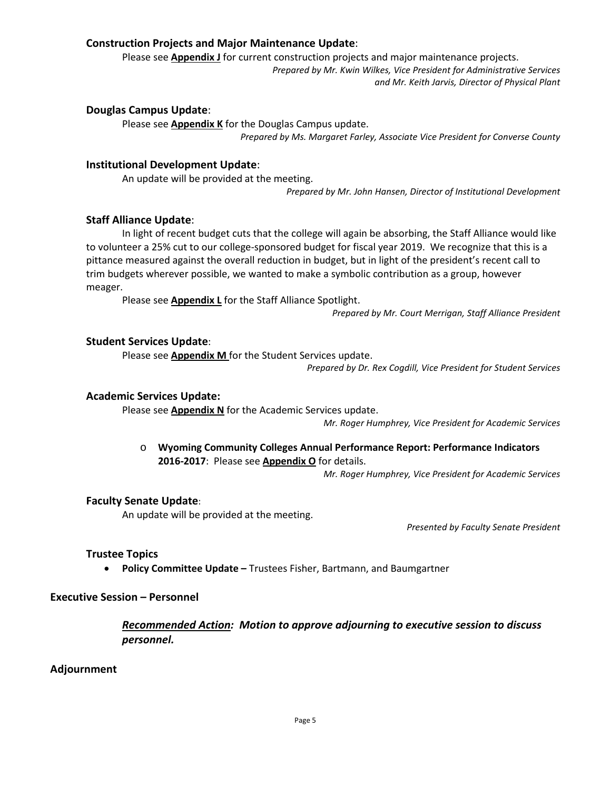### **Construction Projects and Major Maintenance Update**:

Please see **Appendix J** for current construction projects and major maintenance projects.

*Prepared by Mr. Kwin Wilkes, Vice President for Administrative Services and Mr. Keith Jarvis, Director of Physical Plant*

#### **Douglas Campus Update**:

Please see **Appendix K** for the Douglas Campus update. *Prepared by Ms. Margaret Farley, Associate Vice President for Converse County*

#### **Institutional Development Update**:

An update will be provided at the meeting. *Prepared by Mr. John Hansen, Director of Institutional Development*

#### **Staff Alliance Update**:

In light of recent budget cuts that the college will again be absorbing, the Staff Alliance would like to volunteer a 25% cut to our college-sponsored budget for fiscal year 2019. We recognize that this is a pittance measured against the overall reduction in budget, but in light of the president's recent call to trim budgets wherever possible, we wanted to make a symbolic contribution as a group, however meager.

Please see **Appendix L** for the Staff Alliance Spotlight.

*Prepared by Mr. Court Merrigan, Staff Alliance President*

#### **Student Services Update**:

Please see **Appendix M** for the Student Services update.

*Prepared by Dr. Rex Cogdill, Vice President for Student Services*

#### **Academic Services Update:**

Please see **Appendix N** for the Academic Services update.

*Mr. Roger Humphrey, Vice President for Academic Services*

o **Wyoming Community Colleges Annual Performance Report: Performance Indicators 2016-2017**: Please see **Appendix O** for details.

*Mr. Roger Humphrey, Vice President for Academic Services*

### **Faculty Senate Update**:

An update will be provided at the meeting.

*Presented by Faculty Senate President*

### **Trustee Topics**

• **Policy Committee Update –** Trustees Fisher, Bartmann, and Baumgartner

### **Executive Session – Personnel**

*Recommended Action: Motion to approve adjourning to executive session to discuss personnel.*

### **Adjournment**